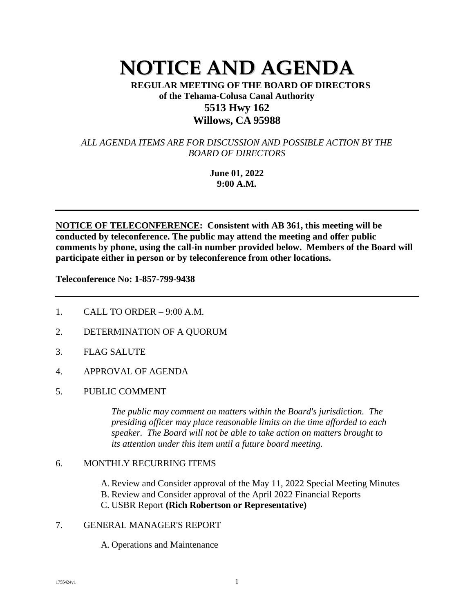# **NOTICE AND AGENDA**

**REGULAR MEETING OF THE BOARD OF DIRECTORS of the Tehama-Colusa Canal Authority 5513 Hwy 162 Willows, CA 95988**

*ALL AGENDA ITEMS ARE FOR DISCUSSION AND POSSIBLE ACTION BY THE BOARD OF DIRECTORS*

> **June 01, 2022 9:00 A.M.**

**NOTICE OF TELECONFERENCE: Consistent with AB 361, this meeting will be conducted by teleconference. The public may attend the meeting and offer public comments by phone, using the call-in number provided below. Members of the Board will participate either in person or by teleconference from other locations.**

**Teleconference No: 1-857-799-9438** 

- 1. CALL TO ORDER 9:00 A.M.
- 2. DETERMINATION OF A QUORUM
- 3. FLAG SALUTE
- 4. APPROVAL OF AGENDA
- 5. PUBLIC COMMENT

*The public may comment on matters within the Board's jurisdiction. The presiding officer may place reasonable limits on the time afforded to each speaker. The Board will not be able to take action on matters brought to its attention under this item until a future board meeting.* 

# 6. MONTHLY RECURRING ITEMS

A. Review and Consider approval of the May 11, 2022 Special Meeting Minutes B. Review and Consider approval of the April 2022 Financial Reports C. USBR Report **(Rich Robertson or Representative)**

# 7. GENERAL MANAGER'S REPORT

A. Operations and Maintenance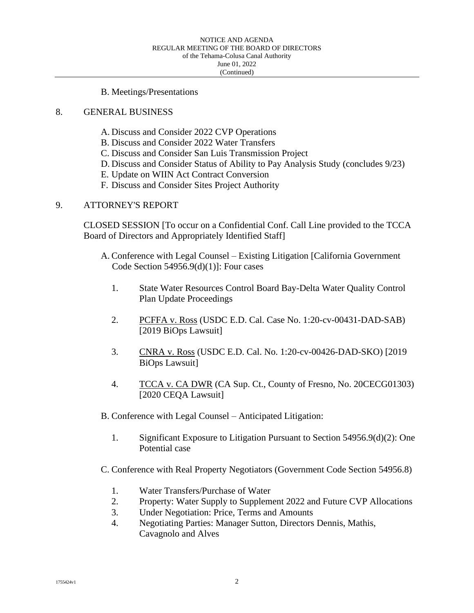#### B. Meetings/Presentations

### 8. GENERAL BUSINESS

- A. Discuss and Consider 2022 CVP Operations
- B. Discuss and Consider 2022 Water Transfers
- C. Discuss and Consider San Luis Transmission Project
- D. Discuss and Consider Status of Ability to Pay Analysis Study (concludes 9/23)
- E. Update on WIIN Act Contract Conversion
- F. Discuss and Consider Sites Project Authority

# 9. ATTORNEY'S REPORT

CLOSED SESSION [To occur on a Confidential Conf. Call Line provided to the TCCA Board of Directors and Appropriately Identified Staff]

- A. Conference with Legal Counsel Existing Litigation [California Government Code Section  $54956.9(d)(1)$ : Four cases
	- 1. State Water Resources Control Board Bay-Delta Water Quality Control Plan Update Proceedings
	- 2. PCFFA v. Ross (USDC E.D. Cal. Case No. 1:20-cv-00431-DAD-SAB) [2019 BiOps Lawsuit]
	- 3. CNRA v. Ross (USDC E.D. Cal. No. 1:20-cv-00426-DAD-SKO) [2019 BiOps Lawsuit]
	- 4. TCCA v. CA DWR (CA Sup. Ct., County of Fresno, No. 20CECG01303) [2020 CEQA Lawsuit]
- B. Conference with Legal Counsel Anticipated Litigation:
	- 1. Significant Exposure to Litigation Pursuant to Section 54956.9(d)(2): One Potential case
- C. Conference with Real Property Negotiators (Government Code Section 54956.8)
	- 1. Water Transfers/Purchase of Water
	- 2. Property: Water Supply to Supplement 2022 and Future CVP Allocations
	- 3. Under Negotiation: Price, Terms and Amounts
	- 4. Negotiating Parties: Manager Sutton, Directors Dennis, Mathis, Cavagnolo and Alves